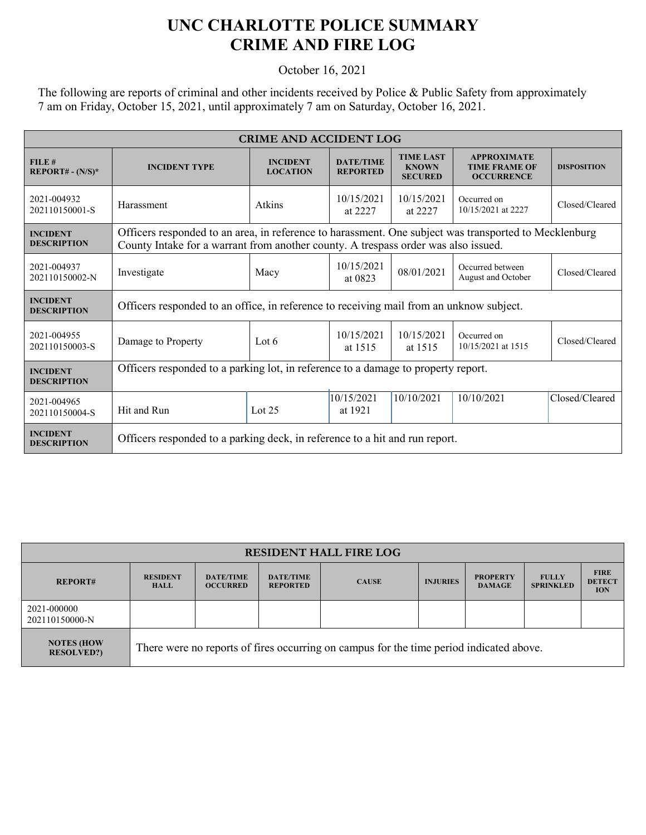## **UNC CHARLOTTE POLICE SUMMARY CRIME AND FIRE LOG**

October 16, 2021

The following are reports of criminal and other incidents received by Police & Public Safety from approximately 7 am on Friday, October 15, 2021, until approximately 7 am on Saturday, October 16, 2021.

| <b>CRIME AND ACCIDENT LOG</b>         |                                                                                                                                                                                             |                                    |                                     |                                                    |                                                                 |                    |  |  |
|---------------------------------------|---------------------------------------------------------------------------------------------------------------------------------------------------------------------------------------------|------------------------------------|-------------------------------------|----------------------------------------------------|-----------------------------------------------------------------|--------------------|--|--|
| FILE#<br>REPORT# - $(N/S)^*$          | <b>INCIDENT TYPE</b>                                                                                                                                                                        | <b>INCIDENT</b><br><b>LOCATION</b> | <b>DATE/TIME</b><br><b>REPORTED</b> | <b>TIME LAST</b><br><b>KNOWN</b><br><b>SECURED</b> | <b>APPROXIMATE</b><br><b>TIME FRAME OF</b><br><b>OCCURRENCE</b> | <b>DISPOSITION</b> |  |  |
| 2021-004932<br>202110150001-S         | Harassment                                                                                                                                                                                  | Atkins                             | 10/15/2021<br>at 2227               | 10/15/2021<br>at 2227                              | Occurred on<br>10/15/2021 at 2227                               | Closed/Cleared     |  |  |
| <b>INCIDENT</b><br><b>DESCRIPTION</b> | Officers responded to an area, in reference to harassment. One subject was transported to Mecklenburg<br>County Intake for a warrant from another county. A trespass order was also issued. |                                    |                                     |                                                    |                                                                 |                    |  |  |
| 2021-004937<br>202110150002-N         | Investigate                                                                                                                                                                                 | Macy                               | 10/15/2021<br>at 0823               | 08/01/2021                                         | Occurred between<br>August and October                          | Closed/Cleared     |  |  |
| <b>INCIDENT</b><br><b>DESCRIPTION</b> | Officers responded to an office, in reference to receiving mail from an unknow subject.                                                                                                     |                                    |                                     |                                                    |                                                                 |                    |  |  |
| 2021-004955<br>202110150003-S         | Damage to Property                                                                                                                                                                          | Lot 6                              | 10/15/2021<br>at 1515               | 10/15/2021<br>at 1515                              | Occurred on<br>10/15/2021 at 1515                               | Closed/Cleared     |  |  |
| <b>INCIDENT</b><br><b>DESCRIPTION</b> | Officers responded to a parking lot, in reference to a damage to property report.                                                                                                           |                                    |                                     |                                                    |                                                                 |                    |  |  |
| 2021-004965<br>202110150004-S         | Hit and Run                                                                                                                                                                                 | Lot $25$                           | 10/15/2021<br>at 1921               | 10/10/2021                                         | 10/10/2021                                                      | Closed/Cleared     |  |  |
| <b>INCIDENT</b><br><b>DESCRIPTION</b> | Officers responded to a parking deck, in reference to a hit and run report.                                                                                                                 |                                    |                                     |                                                    |                                                                 |                    |  |  |

| <b>RESIDENT HALL FIRE LOG</b>          |                                                                                         |                                     |                                     |              |                 |                                  |                                  |                                            |
|----------------------------------------|-----------------------------------------------------------------------------------------|-------------------------------------|-------------------------------------|--------------|-----------------|----------------------------------|----------------------------------|--------------------------------------------|
| <b>REPORT#</b>                         | <b>RESIDENT</b><br><b>HALL</b>                                                          | <b>DATE/TIME</b><br><b>OCCURRED</b> | <b>DATE/TIME</b><br><b>REPORTED</b> | <b>CAUSE</b> | <b>INJURIES</b> | <b>PROPERTY</b><br><b>DAMAGE</b> | <b>FULLY</b><br><b>SPRINKLED</b> | <b>FIRE</b><br><b>DETECT</b><br><b>ION</b> |
| 2021-000000<br>202110150000-N          |                                                                                         |                                     |                                     |              |                 |                                  |                                  |                                            |
| <b>NOTES (HOW</b><br><b>RESOLVED?)</b> | There were no reports of fires occurring on campus for the time period indicated above. |                                     |                                     |              |                 |                                  |                                  |                                            |